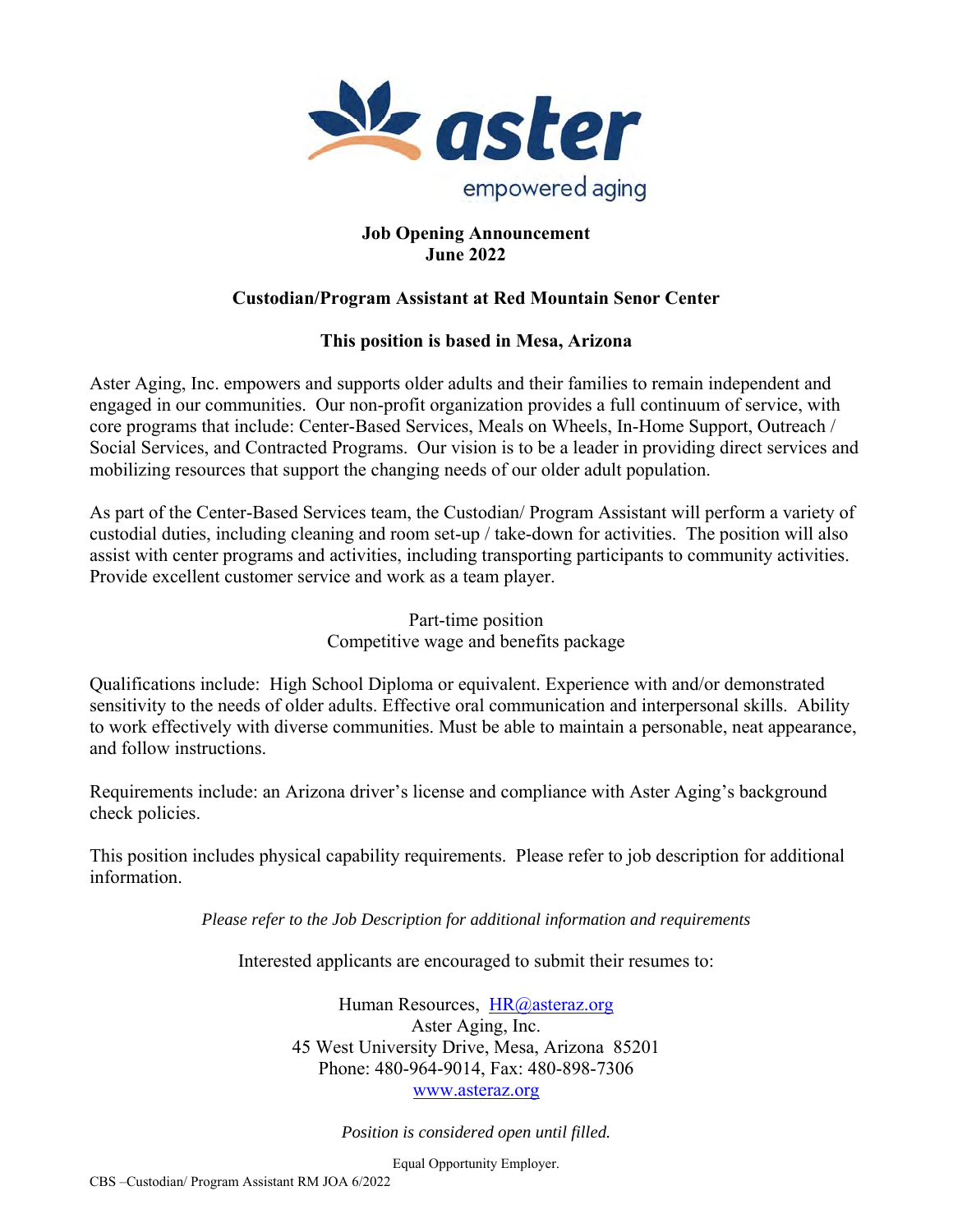

# **Job Opening Announcement June 2022**

# **Custodian/Program Assistant at Red Mountain Senor Center**

# **This position is based in Mesa, Arizona**

Aster Aging, Inc. empowers and supports older adults and their families to remain independent and engaged in our communities. Our non-profit organization provides a full continuum of service, with core programs that include: Center-Based Services, Meals on Wheels, In-Home Support, Outreach / Social Services, and Contracted Programs. Our vision is to be a leader in providing direct services and mobilizing resources that support the changing needs of our older adult population.

As part of the Center-Based Services team, the Custodian/ Program Assistant will perform a variety of custodial duties, including cleaning and room set-up / take-down for activities. The position will also assist with center programs and activities, including transporting participants to community activities. Provide excellent customer service and work as a team player.

> Part-time position Competitive wage and benefits package

Qualifications include: High School Diploma or equivalent. Experience with and/or demonstrated sensitivity to the needs of older adults. Effective oral communication and interpersonal skills. Ability to work effectively with diverse communities. Must be able to maintain a personable, neat appearance, and follow instructions.

Requirements include: an Arizona driver's license and compliance with Aster Aging's background check policies.

This position includes physical capability requirements. Please refer to job description for additional information.

*Please refer to the Job Description for additional information and requirements* 

Interested applicants are encouraged to submit their resumes to:

Human Resources, HR@asteraz.org Aster Aging, Inc. 45 West University Drive, Mesa, Arizona 85201 Phone: 480-964-9014, Fax: 480-898-7306 www.asteraz.org

*Position is considered open until filled.* 

Equal Opportunity Employer.